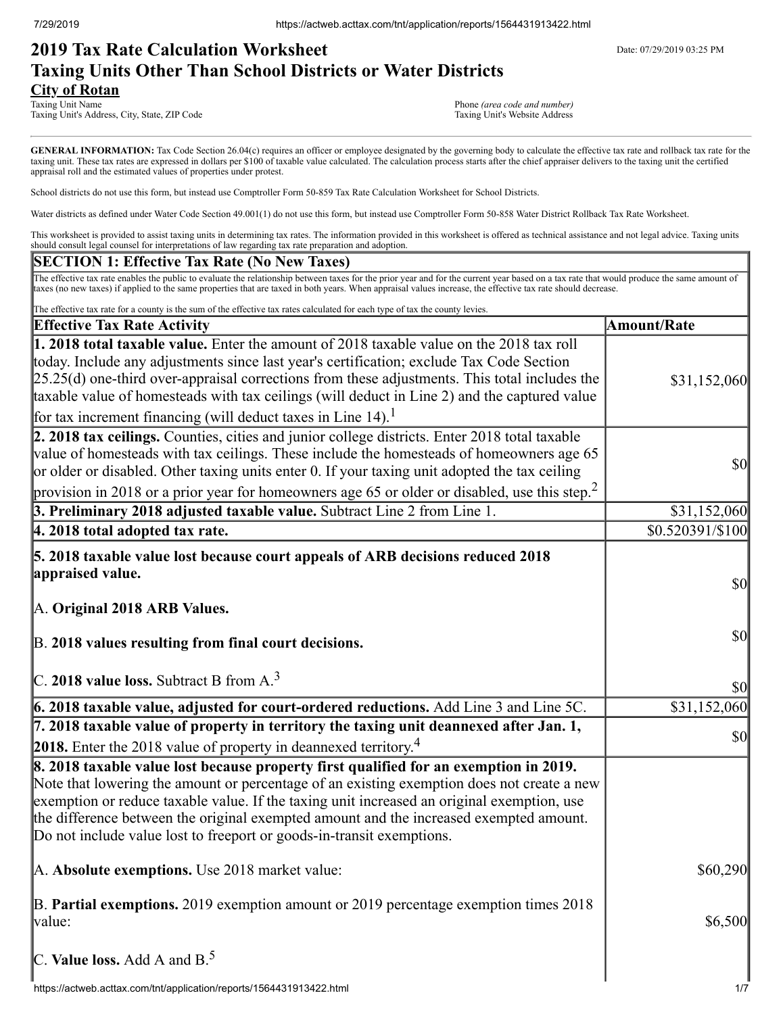# **2019 Tax Rate Calculation Worksheet** Department Date: 07/29/2019 03:25 PM **Taxing Units Other Than School Districts or Water Districts City of Rotan**<br>Taxing Unit Name

Taxing Unit's Address, City, State, ZIP Code

Phone *(area code and number)*<br>Taxing Unit's Website Address

GENERAL INFORMATION: Tax Code Section 26.04(c) requires an officer or employee designated by the governing body to calculate the effective tax rate and rollback tax rate for the taxing unit. These tax rates are expressed in dollars per \$100 of taxable value calculated. The calculation process starts after the chief appraiser delivers to the taxing unit the certified appraisal roll and the estimated values of properties under protest.

School districts do not use this form, but instead use Comptroller Form 50-859 Tax Rate Calculation Worksheet for School Districts.

Water districts as defined under Water Code Section 49.001(1) do not use this form, but instead use Comptroller Form 50-858 Water District Rollback Tax Rate Worksheet.

This worksheet is provided to assist taxing units in determining tax rates. The information provided in this worksheet is offered as technical assistance and not legal advice. Taxing units should consult legal counsel for interpretations of law regarding tax rate preparation and adoption.

### **SECTION 1: Effective Tax Rate (No New Taxes)**

The effective tax rate enables the public to evaluate the relationship between taxes for the prior year and for the current year based on a tax rate that would produce the same amount of taxes (no new taxes) if applied to the same properties that are taxed in both years. When appraisal values increase, the effective tax rate should decrease.

| The effective tax rate for a county is the sum of the effective tax rates calculated for each type of tax the county levies.                                                                                                                                                                                                                                                                                                                                         |                    |
|----------------------------------------------------------------------------------------------------------------------------------------------------------------------------------------------------------------------------------------------------------------------------------------------------------------------------------------------------------------------------------------------------------------------------------------------------------------------|--------------------|
| <b>Effective Tax Rate Activity</b>                                                                                                                                                                                                                                                                                                                                                                                                                                   | <b>Amount/Rate</b> |
| 1. 2018 total taxable value. Enter the amount of 2018 taxable value on the 2018 tax roll<br>today. Include any adjustments since last year's certification; exclude Tax Code Section<br>$[25.25(d)$ one-third over-appraisal corrections from these adjustments. This total includes the<br>taxable value of homesteads with tax ceilings (will deduct in Line 2) and the captured value<br>for tax increment financing (will deduct taxes in Line 14). <sup>1</sup> | \$31,152,060       |
| 2. 2018 tax ceilings. Counties, cities and junior college districts. Enter 2018 total taxable<br>value of homesteads with tax ceilings. These include the homesteads of homeowners age 65<br>or older or disabled. Other taxing units enter 0. If your taxing unit adopted the tax ceiling<br>provision in 2018 or a prior year for homeowners age 65 or older or disabled, use this step. <sup>2</sup>                                                              | \$0                |
| 3. Preliminary 2018 adjusted taxable value. Subtract Line 2 from Line 1.                                                                                                                                                                                                                                                                                                                                                                                             | \$31,152,060       |
| 4. 2018 total adopted tax rate.                                                                                                                                                                                                                                                                                                                                                                                                                                      | \$0.520391/\$100   |
| 5. 2018 taxable value lost because court appeals of ARB decisions reduced 2018<br>appraised value.<br>A. Original 2018 ARB Values.                                                                                                                                                                                                                                                                                                                                   | $\sqrt{50}$        |
| B. 2018 values resulting from final court decisions.<br>C. 2018 value loss. Subtract B from $A3$                                                                                                                                                                                                                                                                                                                                                                     | \$0                |
|                                                                                                                                                                                                                                                                                                                                                                                                                                                                      | \$0                |
| 6. 2018 taxable value, adjusted for court-ordered reductions. Add Line 3 and Line 5C.                                                                                                                                                                                                                                                                                                                                                                                | \$31,152,060       |
| 7. 2018 taxable value of property in territory the taxing unit deannexed after Jan. 1,<br>2018. Enter the 2018 value of property in deannexed territory. <sup>4</sup>                                                                                                                                                                                                                                                                                                | \$0                |
| 8. 2018 taxable value lost because property first qualified for an exemption in 2019.<br>Note that lowering the amount or percentage of an existing exemption does not create a new<br>exemption or reduce taxable value. If the taxing unit increased an original exemption, use<br>the difference between the original exempted amount and the increased exempted amount.<br>Do not include value lost to freeport or goods-in-transit exemptions.                 |                    |
| A. Absolute exemptions. Use 2018 market value:                                                                                                                                                                                                                                                                                                                                                                                                                       | \$60,290           |
| B. Partial exemptions. 2019 exemption amount or 2019 percentage exemption times 2018<br>value:                                                                                                                                                                                                                                                                                                                                                                       | \$6,500            |
| C. Value loss. Add A and $B^5$ .                                                                                                                                                                                                                                                                                                                                                                                                                                     |                    |
| https://actweb.acttax.com/tnt/application/reports/1564431913422.html                                                                                                                                                                                                                                                                                                                                                                                                 | 1/7                |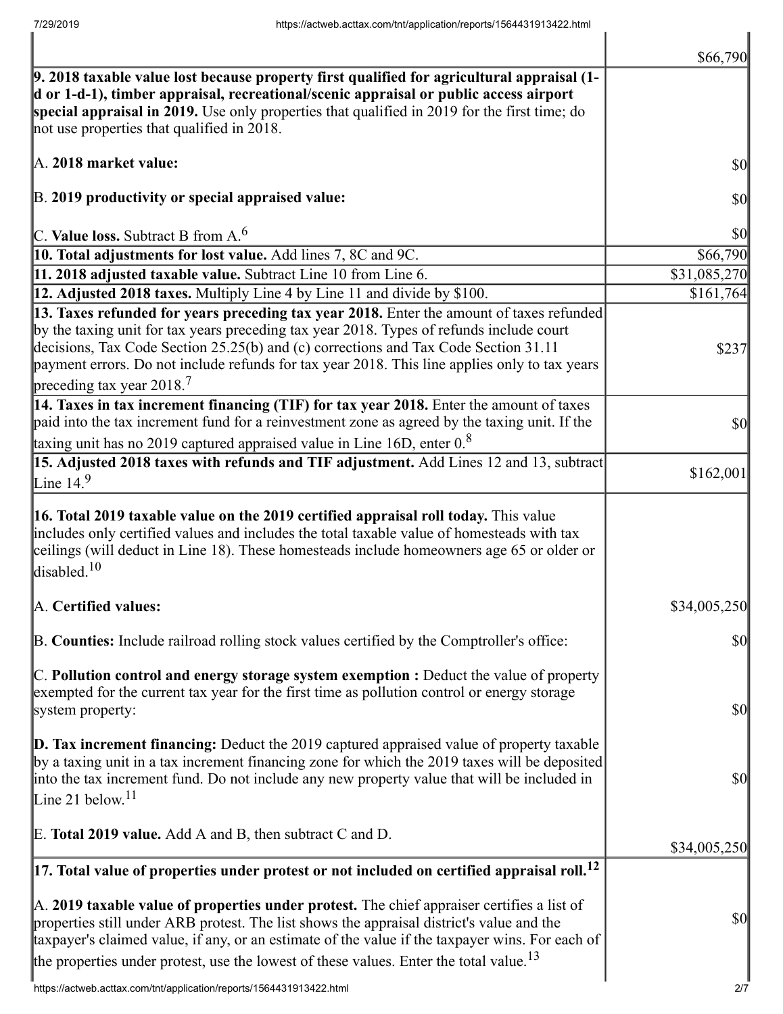|                                                                                                                                                                                                                                                                                                                                                                                                               | \$66,790                            |
|---------------------------------------------------------------------------------------------------------------------------------------------------------------------------------------------------------------------------------------------------------------------------------------------------------------------------------------------------------------------------------------------------------------|-------------------------------------|
| 9. 2018 taxable value lost because property first qualified for agricultural appraisal (1-<br>d or 1-d-1), timber appraisal, recreational/scenic appraisal or public access airport<br>special appraisal in 2019. Use only properties that qualified in 2019 for the first time; do<br>not use properties that qualified in 2018.                                                                             |                                     |
| A. 2018 market value:                                                                                                                                                                                                                                                                                                                                                                                         | \$0                                 |
| B. 2019 productivity or special appraised value:                                                                                                                                                                                                                                                                                                                                                              | \$0                                 |
| C. Value loss. Subtract B from $A6$                                                                                                                                                                                                                                                                                                                                                                           | \$0                                 |
| 10. Total adjustments for lost value. Add lines 7, 8C and 9C.                                                                                                                                                                                                                                                                                                                                                 | \$66,790                            |
| 11. 2018 adjusted taxable value. Subtract Line 10 from Line 6.                                                                                                                                                                                                                                                                                                                                                | \$31,085,270                        |
| 12. Adjusted 2018 taxes. Multiply Line 4 by Line 11 and divide by \$100.                                                                                                                                                                                                                                                                                                                                      | \$161,764                           |
| 13. Taxes refunded for years preceding tax year 2018. Enter the amount of taxes refunded<br>by the taxing unit for tax years preceding tax year 2018. Types of refunds include court<br>decisions, Tax Code Section 25.25(b) and (c) corrections and Tax Code Section 31.11<br>payment errors. Do not include refunds for tax year 2018. This line applies only to tax years<br>preceding tax year 2018. $^7$ | \$237                               |
| 14. Taxes in tax increment financing (TIF) for tax year 2018. Enter the amount of taxes<br>paid into the tax increment fund for a reinvestment zone as agreed by the taxing unit. If the<br>taxing unit has no 2019 captured appraised value in Line 16D, enter $0.8$                                                                                                                                         | \$0                                 |
| 15. Adjusted 2018 taxes with refunds and TIF adjustment. Add Lines 12 and 13, subtract                                                                                                                                                                                                                                                                                                                        |                                     |
| Line 14. $9$                                                                                                                                                                                                                                                                                                                                                                                                  | \$162,001                           |
| 16. Total 2019 taxable value on the 2019 certified appraisal roll today. This value<br>includes only certified values and includes the total taxable value of homesteads with tax<br>ceilings (will deduct in Line 18). These homesteads include homeowners age 65 or older or<br>disabled. $10$                                                                                                              |                                     |
| A. Certified values:                                                                                                                                                                                                                                                                                                                                                                                          | \$34,005,250                        |
| B. Counties: Include railroad rolling stock values certified by the Comptroller's office:                                                                                                                                                                                                                                                                                                                     | \$0                                 |
| $\mathbb C$ . Pollution control and energy storage system exemption : Deduct the value of property<br>exempted for the current tax year for the first time as pollution control or energy storage<br>system property:                                                                                                                                                                                         | $\vert \mathbf{S} \mathbf{O} \vert$ |
| $\mathbf{D}$ . Tax increment financing: Deduct the 2019 captured appraised value of property taxable<br>by a taxing unit in a tax increment financing zone for which the 2019 taxes will be deposited<br>into the tax increment fund. Do not include any new property value that will be included in<br>Line 21 below. <sup>11</sup>                                                                          | $\vert \mathbf{S} \mathbf{O} \vert$ |
| E. Total 2019 value. Add A and B, then subtract C and D.                                                                                                                                                                                                                                                                                                                                                      | \$34,005,250                        |
| $\left 17.\right.$ Total value of properties under protest or not included on certified appraisal roll. $^{12}$                                                                                                                                                                                                                                                                                               |                                     |
| A. 2019 taxable value of properties under protest. The chief appraiser certifies a list of<br>properties still under ARB protest. The list shows the appraisal district's value and the<br>taxpayer's claimed value, if any, or an estimate of the value if the taxpayer wins. For each of<br>the properties under protest, use the lowest of these values. Enter the total value. <sup>13</sup>              | \$0                                 |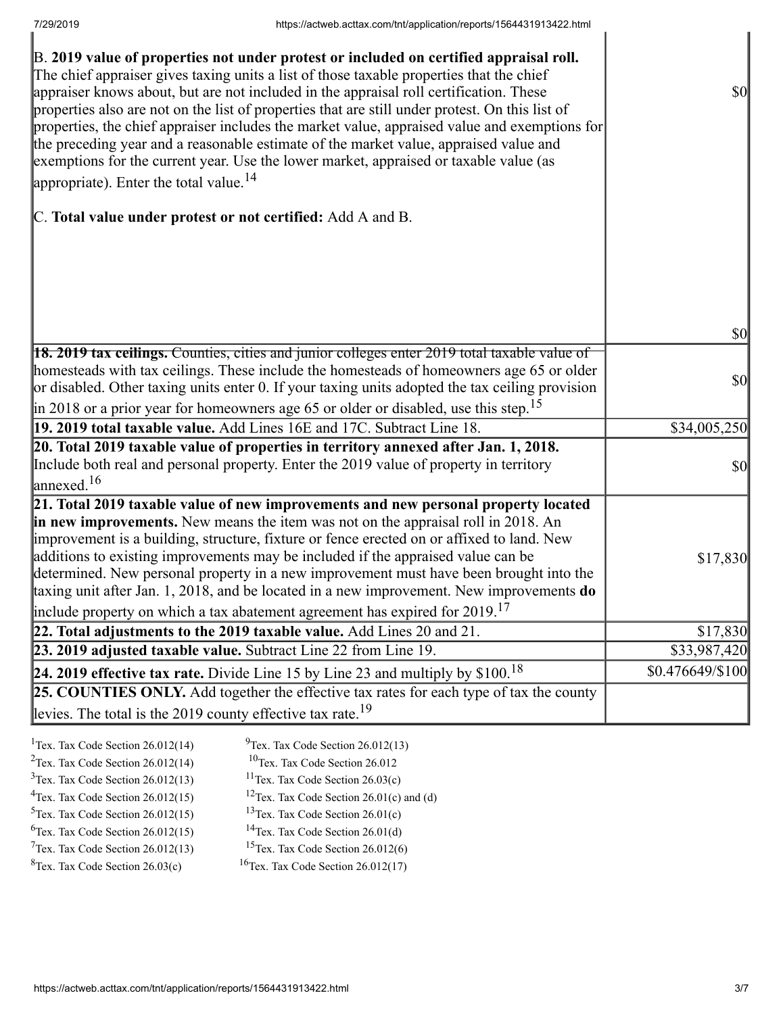| B. 2019 value of properties not under protest or included on certified appraisal roll.<br>The chief appraiser gives taxing units a list of those taxable properties that the chief<br>appraiser knows about, but are not included in the appraisal roll certification. These<br>properties also are not on the list of properties that are still under protest. On this list of<br>properties, the chief appraiser includes the market value, appraised value and exemptions for<br>the preceding year and a reasonable estimate of the market value, appraised value and<br>exemptions for the current year. Use the lower market, appraised or taxable value (as<br>appropriate). Enter the total value. $^{14}$ | $\sqrt{50}$                         |
|--------------------------------------------------------------------------------------------------------------------------------------------------------------------------------------------------------------------------------------------------------------------------------------------------------------------------------------------------------------------------------------------------------------------------------------------------------------------------------------------------------------------------------------------------------------------------------------------------------------------------------------------------------------------------------------------------------------------|-------------------------------------|
| C. Total value under protest or not certified: Add A and B.                                                                                                                                                                                                                                                                                                                                                                                                                                                                                                                                                                                                                                                        |                                     |
|                                                                                                                                                                                                                                                                                                                                                                                                                                                                                                                                                                                                                                                                                                                    | $\vert \mathbf{S} \mathbf{0} \vert$ |
| $\left 18.2019 \right $ tax ceilings. Counties, cities and junior colleges enter 2019 total taxable value of                                                                                                                                                                                                                                                                                                                                                                                                                                                                                                                                                                                                       |                                     |
| homesteads with tax ceilings. These include the homesteads of homeowners age 65 or older<br>or disabled. Other taxing units enter 0. If your taxing units adopted the tax ceiling provision<br>$\parallel$ in 2018 or a prior year for homeowners age 65 or older or disabled, use this step. <sup>15</sup>                                                                                                                                                                                                                                                                                                                                                                                                        | $\vert \mathbf{S} \mathbf{0} \vert$ |
| 19. 2019 total taxable value. Add Lines 16E and 17C. Subtract Line 18.                                                                                                                                                                                                                                                                                                                                                                                                                                                                                                                                                                                                                                             | \$34,005,250                        |
| 20. Total 2019 taxable value of properties in territory annexed after Jan. 1, 2018.                                                                                                                                                                                                                                                                                                                                                                                                                                                                                                                                                                                                                                |                                     |
| Include both real and personal property. Enter the 2019 value of property in territory<br>$\lvert$ annexed. <sup>16</sup>                                                                                                                                                                                                                                                                                                                                                                                                                                                                                                                                                                                          | $\sqrt{50}$                         |
| 21. Total 2019 taxable value of new improvements and new personal property located<br>in new improvements. New means the item was not on the appraisal roll in 2018. An<br>improvement is a building, structure, fixture or fence erected on or affixed to land. New<br>additions to existing improvements may be included if the appraised value can be<br>determined. New personal property in a new improvement must have been brought into the<br>taxing unit after Jan. 1, 2018, and be located in a new improvement. New improvements do<br>include property on which a tax abatement agreement has expired for $2019$ . <sup>17</sup>                                                                       | \$17,830                            |
| 22. Total adjustments to the 2019 taxable value. Add Lines 20 and 21.                                                                                                                                                                                                                                                                                                                                                                                                                                                                                                                                                                                                                                              | \$17,830                            |
| 23. 2019 adjusted taxable value. Subtract Line 22 from Line 19.                                                                                                                                                                                                                                                                                                                                                                                                                                                                                                                                                                                                                                                    | \$33,987,420                        |
| 24. 2019 effective tax rate. Divide Line 15 by Line 23 and multiply by $$100.18$                                                                                                                                                                                                                                                                                                                                                                                                                                                                                                                                                                                                                                   | $$0.476649\%100$                    |
| 25. COUNTIES ONLY. Add together the effective tax rates for each type of tax the county                                                                                                                                                                                                                                                                                                                                                                                                                                                                                                                                                                                                                            |                                     |
| levies. The total is the 2019 county effective tax rate. <sup>19</sup>                                                                                                                                                                                                                                                                                                                                                                                                                                                                                                                                                                                                                                             |                                     |
|                                                                                                                                                                                                                                                                                                                                                                                                                                                                                                                                                                                                                                                                                                                    |                                     |

| <sup>1</sup> Tex. Tax Code Section $26.012(14)$ | $^{9}$ Tex. Tax Code Section 26.012(13)              |
|-------------------------------------------------|------------------------------------------------------|
| <sup>2</sup> Tex. Tax Code Section $26.012(14)$ | <sup>10</sup> Tex. Tax Code Section 26.012           |
| $3$ Tex. Tax Code Section 26.012(13)            | <sup>11</sup> Tex. Tax Code Section $26.03(c)$       |
| $4$ Tex. Tax Code Section 26.012(15)            | <sup>12</sup> Tex. Tax Code Section 26.01(c) and (d) |
| $5$ Tex. Tax Code Section 26.012(15)            | <sup>13</sup> Tex. Tax Code Section $26.01(c)$       |
| ${}^{6}$ Tex. Tax Code Section 26.012(15)       | <sup>14</sup> Tex. Tax Code Section $26.01(d)$       |
| $7$ Tex. Tax Code Section 26.012(13)            | <sup>15</sup> Tex. Tax Code Section $26.012(6)$      |
| ${}^{8}$ Tex. Tax Code Section 26.03(c)         | <sup>16</sup> Tex. Tax Code Section $26.012(17)$     |
|                                                 |                                                      |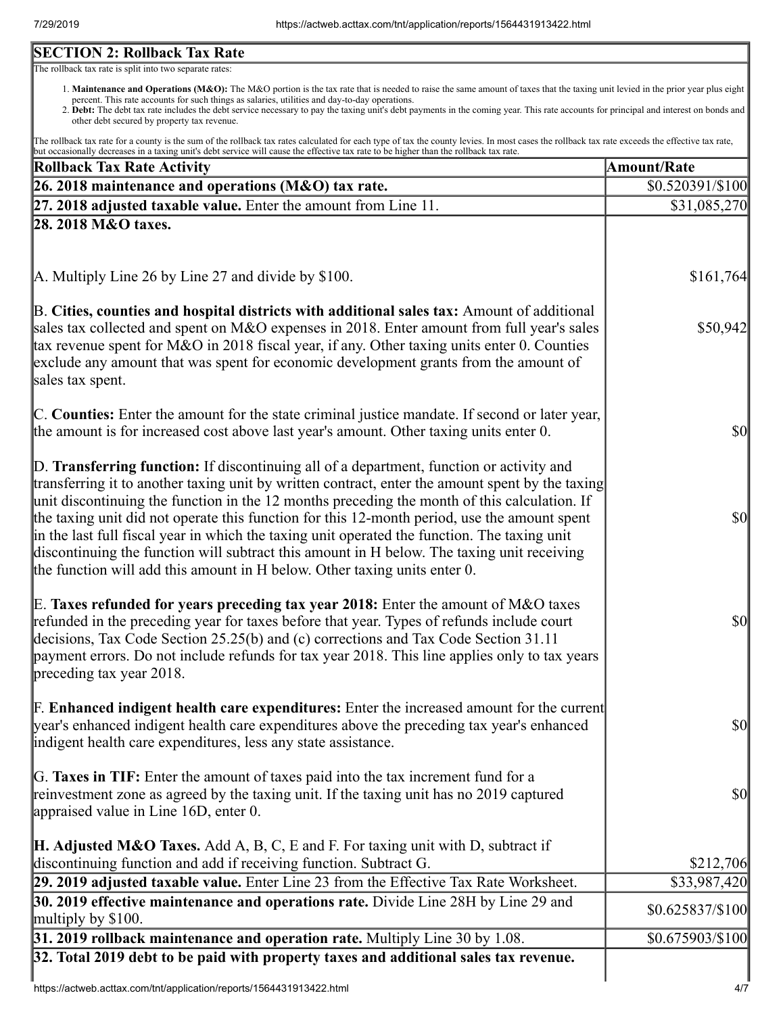## **SECTION 2: Rollback Tax Rate**

The rollback tax rate is split into two separate rates:

- 1. Maintenance and Operations (M&O): The M&O portion is the tax rate that is needed to raise the same amount of taxes that the taxing unit levied in the prior year plus eight percent. This rate accounts for such things as salaries, utilities and day-to-day operations.
- 2. Debt: The debt tax rate includes the debt service necessary to pay the taxing unit's debt payments in the coming year. This rate accounts for principal and interest on bonds and other debt secured by property tax revenue.

The rollback tax rate for a county is the sum of the rollback tax rates calculated for each type of tax the county levies. In most cases the rollback tax rate exceeds the effective tax rate, but occasionally decreases in a taxing unit's debt service will cause the effective tax rate to be higher than the rollback tax rate.

| <b>Rollback Tax Rate Activity</b>                                                                                                                                                                                                                                                                                                                                                                                                                                                                                                                                                                                                                                       | <b>Amount/Rate</b> |
|-------------------------------------------------------------------------------------------------------------------------------------------------------------------------------------------------------------------------------------------------------------------------------------------------------------------------------------------------------------------------------------------------------------------------------------------------------------------------------------------------------------------------------------------------------------------------------------------------------------------------------------------------------------------------|--------------------|
| 26. 2018 maintenance and operations (M&O) tax rate.                                                                                                                                                                                                                                                                                                                                                                                                                                                                                                                                                                                                                     | \$0.520391/\$100   |
| $\left 27.2018\right\rangle$ adjusted taxable value. Enter the amount from Line 11.                                                                                                                                                                                                                                                                                                                                                                                                                                                                                                                                                                                     | \$31,085,270       |
| 28. 2018 M&O taxes.                                                                                                                                                                                                                                                                                                                                                                                                                                                                                                                                                                                                                                                     |                    |
|                                                                                                                                                                                                                                                                                                                                                                                                                                                                                                                                                                                                                                                                         |                    |
| A. Multiply Line 26 by Line 27 and divide by \$100.                                                                                                                                                                                                                                                                                                                                                                                                                                                                                                                                                                                                                     | \$161,764          |
| B. Cities, counties and hospital districts with additional sales tax: Amount of additional<br>sales tax collected and spent on M&O expenses in 2018. Enter amount from full year's sales<br>tax revenue spent for M&O in 2018 fiscal year, if any. Other taxing units enter 0. Counties<br>exclude any amount that was spent for economic development grants from the amount of<br>sales tax spent.                                                                                                                                                                                                                                                                     | \$50,942           |
| C. Counties: Enter the amount for the state criminal justice mandate. If second or later year,<br>the amount is for increased cost above last year's amount. Other taxing units enter 0.                                                                                                                                                                                                                                                                                                                                                                                                                                                                                | <b>\$0</b>         |
| D. Transferring function: If discontinuing all of a department, function or activity and<br>transferring it to another taxing unit by written contract, enter the amount spent by the taxing<br>unit discontinuing the function in the 12 months preceding the month of this calculation. If<br>the taxing unit did not operate this function for this 12-month period, use the amount spent<br>in the last full fiscal year in which the taxing unit operated the function. The taxing unit<br>discontinuing the function will subtract this amount in H below. The taxing unit receiving<br>the function will add this amount in H below. Other taxing units enter 0. | $\frac{1}{2}$      |
| E. Taxes refunded for years preceding tax year 2018: Enter the amount of M&O taxes<br>refunded in the preceding year for taxes before that year. Types of refunds include court<br>decisions, Tax Code Section 25.25(b) and (c) corrections and Tax Code Section 31.11<br>payment errors. Do not include refunds for tax year 2018. This line applies only to tax years<br>preceding tax year 2018.                                                                                                                                                                                                                                                                     | $\frac{1}{2}$      |
| <b>F. Enhanced indigent health care expenditures:</b> Enter the increased amount for the current<br>year's enhanced indigent health care expenditures above the preceding tax year's enhanced<br>indigent health care expenditures, less any state assistance.                                                                                                                                                                                                                                                                                                                                                                                                          | $\sqrt{50}$        |
| G. Taxes in TIF: Enter the amount of taxes paid into the tax increment fund for a<br>reinvestment zone as agreed by the taxing unit. If the taxing unit has no 2019 captured<br>appraised value in Line 16D, enter 0.                                                                                                                                                                                                                                                                                                                                                                                                                                                   | $\sqrt{50}$        |
| <b>H. Adjusted M&amp;O Taxes.</b> Add A, B, C, E and F. For taxing unit with D, subtract if<br>discontinuing function and add if receiving function. Subtract G.                                                                                                                                                                                                                                                                                                                                                                                                                                                                                                        | \$212,706          |
| 29. 2019 adjusted taxable value. Enter Line 23 from the Effective Tax Rate Worksheet.                                                                                                                                                                                                                                                                                                                                                                                                                                                                                                                                                                                   | \$33,987,420       |
| 30. 2019 effective maintenance and operations rate. Divide Line 28H by Line 29 and<br>multiply by $$100$ .                                                                                                                                                                                                                                                                                                                                                                                                                                                                                                                                                              | $$0.625837/\$100$  |
| $31.2019$ rollback maintenance and operation rate. Multiply Line 30 by 1.08.                                                                                                                                                                                                                                                                                                                                                                                                                                                                                                                                                                                            | \$0.675903/\$100   |
| 32. Total 2019 debt to be paid with property taxes and additional sales tax revenue.                                                                                                                                                                                                                                                                                                                                                                                                                                                                                                                                                                                    |                    |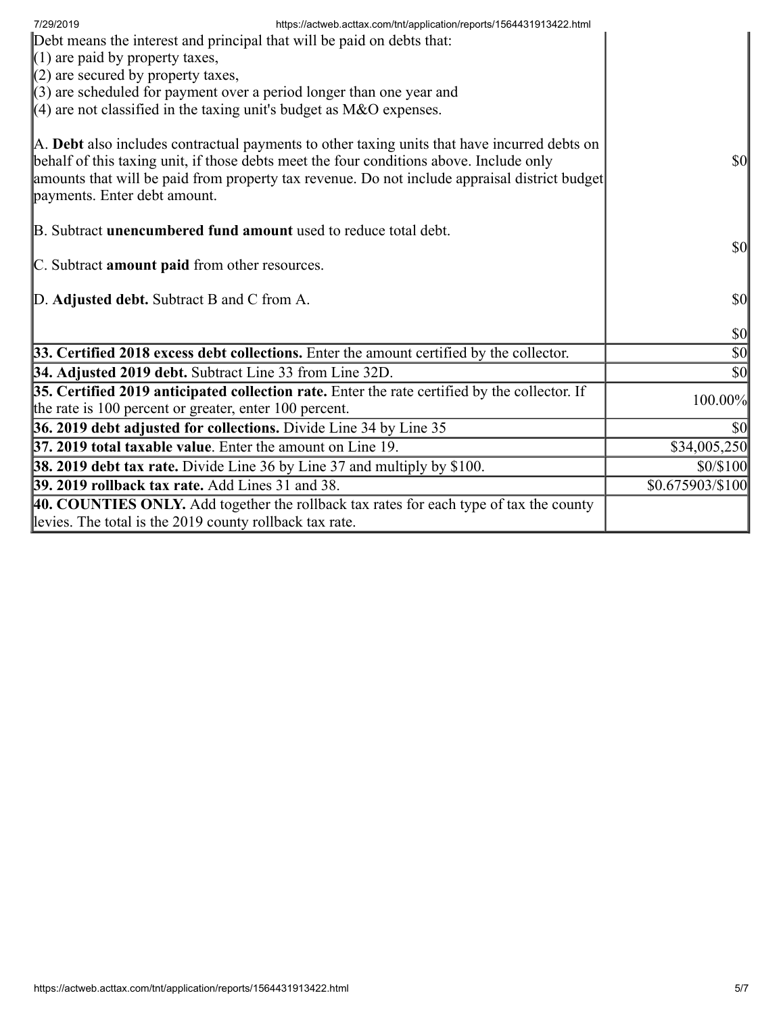| 7/29/2019<br>https://actweb.acttax.com/tnt/application/reports/1564431913422.html<br>Debt means the interest and principal that will be paid on debts that:<br>$(1)$ are paid by property taxes,<br>$(2)$ are secured by property taxes,<br>$\parallel$ (3) are scheduled for payment over a period longer than one year and<br>$(4)$ are not classified in the taxing unit's budget as M&O expenses. |                                     |
|-------------------------------------------------------------------------------------------------------------------------------------------------------------------------------------------------------------------------------------------------------------------------------------------------------------------------------------------------------------------------------------------------------|-------------------------------------|
| A. Debt also includes contractual payments to other taxing units that have incurred debts on<br>behalf of this taxing unit, if those debts meet the four conditions above. Include only<br>amounts that will be paid from property tax revenue. Do not include appraisal district budget<br>payments. Enter debt amount.                                                                              | <b>\$0</b>                          |
| B. Subtract <b>unencumbered fund amount</b> used to reduce total debt.<br>C. Subtract amount paid from other resources.                                                                                                                                                                                                                                                                               | <b>\$0</b>                          |
| D. Adjusted debt. Subtract B and C from A.                                                                                                                                                                                                                                                                                                                                                            | $\vert \$\text{0}\vert$             |
|                                                                                                                                                                                                                                                                                                                                                                                                       | $ 10\rangle$                        |
| 33. Certified 2018 excess debt collections. Enter the amount certified by the collector.                                                                                                                                                                                                                                                                                                              | $\vert \mathbf{S} \mathbf{0} \vert$ |
| 34. Adjusted 2019 debt. Subtract Line 33 from Line 32D.                                                                                                                                                                                                                                                                                                                                               | $\vert \mathbf{S} \mathbf{0} \vert$ |
| 35. Certified 2019 anticipated collection rate. Enter the rate certified by the collector. If<br>the rate is 100 percent or greater, enter 100 percent.                                                                                                                                                                                                                                               | 100.00%                             |
| 36. 2019 debt adjusted for collections. Divide Line 34 by Line 35                                                                                                                                                                                                                                                                                                                                     | \$0                                 |
| <b>37. 2019 total taxable value.</b> Enter the amount on Line 19.                                                                                                                                                                                                                                                                                                                                     | \$34,005,250                        |
| <b>38. 2019 debt tax rate.</b> Divide Line 36 by Line 37 and multiply by \$100.                                                                                                                                                                                                                                                                                                                       | \$0/\$100                           |
| 39. 2019 rollback tax rate. Add Lines 31 and 38.                                                                                                                                                                                                                                                                                                                                                      | \$0.675903/\$100                    |
| 40. COUNTIES ONLY. Add together the rollback tax rates for each type of tax the county<br>levies. The total is the 2019 county rollback tax rate.                                                                                                                                                                                                                                                     |                                     |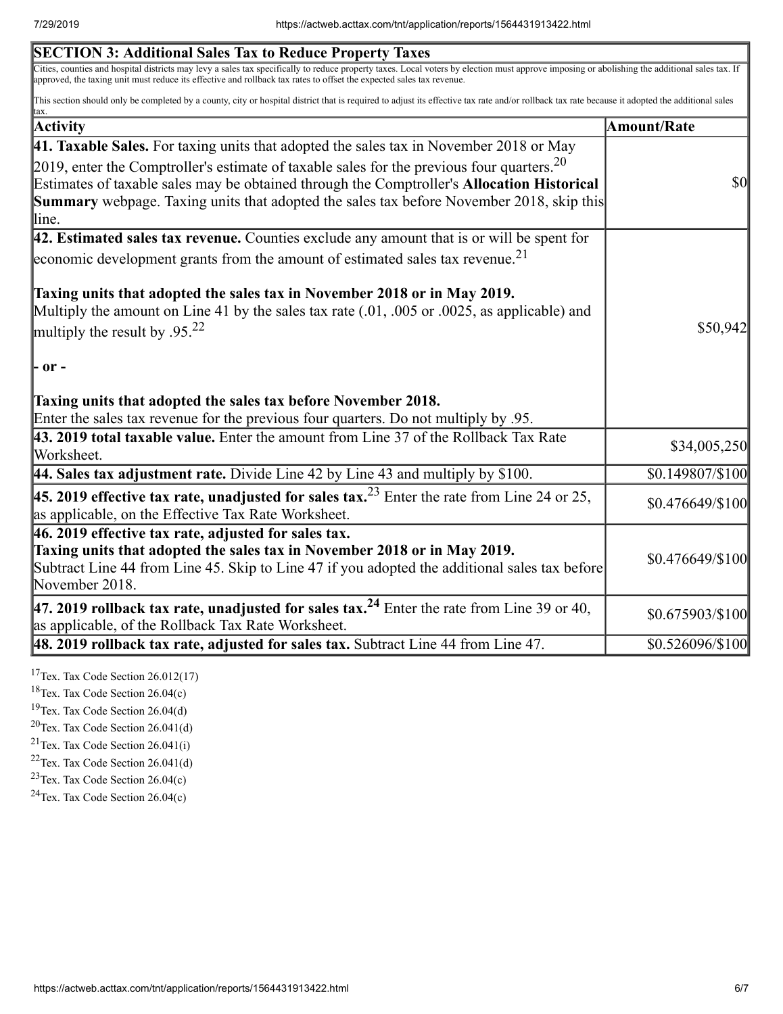| <b>SECTION 3: Additional Sales Tax to Reduce Property Taxes</b>                                                                                                                                                                                                                                                                                                                                               |                    |
|---------------------------------------------------------------------------------------------------------------------------------------------------------------------------------------------------------------------------------------------------------------------------------------------------------------------------------------------------------------------------------------------------------------|--------------------|
| Cities, counties and hospital districts may levy a sales tax specifically to reduce property taxes. Local voters by election must approve imposing or abolishing the additional sales tax. If<br>approved, the taxing unit must reduce its effective and rollback tax rates to offset the expected sales tax revenue.                                                                                         |                    |
| This section should only be completed by a county, city or hospital district that is required to adjust its effective tax rate and/or rollback tax rate because it adopted the additional sales<br>tax.                                                                                                                                                                                                       |                    |
| <b>Activity</b>                                                                                                                                                                                                                                                                                                                                                                                               | <b>Amount/Rate</b> |
| 41. Taxable Sales. For taxing units that adopted the sales tax in November 2018 or May                                                                                                                                                                                                                                                                                                                        |                    |
| 2019, enter the Comptroller's estimate of taxable sales for the previous four quarters. $20$<br>Estimates of taxable sales may be obtained through the Comptroller's Allocation Historical<br><b>Summary</b> webpage. Taxing units that adopted the sales tax before November 2018, skip this<br>lline.                                                                                                       | $\sqrt{50}$        |
| $ 42$ . Estimated sales tax revenue. Counties exclude any amount that is or will be spent for                                                                                                                                                                                                                                                                                                                 |                    |
| economic development grants from the amount of estimated sales tax revenue. <sup>21</sup>                                                                                                                                                                                                                                                                                                                     |                    |
| Taxing units that adopted the sales tax in November 2018 or in May 2019.<br>Multiply the amount on Line 41 by the sales tax rate (.01, .005 or .0025, as applicable) and<br>multiply the result by .95. <sup>22</sup><br>$\mathsf{P}$ or $\mathsf{P}$<br>Taxing units that adopted the sales tax before November 2018.<br>Enter the sales tax revenue for the previous four quarters. Do not multiply by .95. | \$50,942           |
| 43. 2019 total taxable value. Enter the amount from Line 37 of the Rollback Tax Rate<br>Worksheet.                                                                                                                                                                                                                                                                                                            | \$34,005,250       |
| 44. Sales tax adjustment rate. Divide Line 42 by Line 43 and multiply by \$100.                                                                                                                                                                                                                                                                                                                               | \$0.149807/\$100   |
| <b>45. 2019 effective tax rate, unadjusted for sales tax.</b> <sup>23</sup> Enter the rate from Line 24 or 25,<br>as applicable, on the Effective Tax Rate Worksheet.                                                                                                                                                                                                                                         | $$0.476649\%100$   |
| $ 46.2019$ effective tax rate, adjusted for sales tax.<br>Taxing units that adopted the sales tax in November 2018 or in May 2019.<br>Subtract Line 44 from Line 45. Skip to Line 47 if you adopted the additional sales tax before<br>November 2018.                                                                                                                                                         | $$0.476649\%100$   |
| 47. 2019 rollback tax rate, unadjusted for sales tax. <sup>24</sup> Enter the rate from Line 39 or 40,<br>as applicable, of the Rollback Tax Rate Worksheet.                                                                                                                                                                                                                                                  | \$0.675903/\$100   |
| $\vert$ 48. 2019 rollback tax rate, adjusted for sales tax. Subtract Line 44 from Line 47.                                                                                                                                                                                                                                                                                                                    | \$0.526096/\$100   |
|                                                                                                                                                                                                                                                                                                                                                                                                               |                    |

<sup>17</sup>Tex. Tax Code Section  $26.012(17)$ 

<sup>18</sup>Tex. Tax Code Section  $26.04(c)$ 

<sup>19</sup>Tex. Tax Code Section 26.04(d)

 $20$ Tex. Tax Code Section 26.041(d)

 $21$ Tex. Tax Code Section 26.041(i)

 $22$ Tex. Tax Code Section 26.041(d)

<sup>23</sup>Tex. Tax Code Section  $26.04(c)$ 

 $24$ Tex. Tax Code Section 26.04(c)